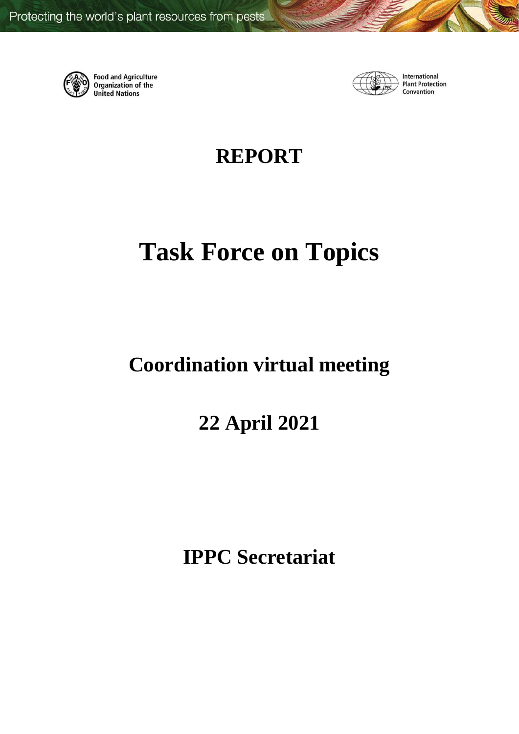

**Food and Agriculture Organization of the United Nations** 



International **Plant Protection** Convention

**REPORT**

# **Task Force on Topics**

## **Coordination virtual meeting**

## **22 April 2021**

**IPPC Secretariat**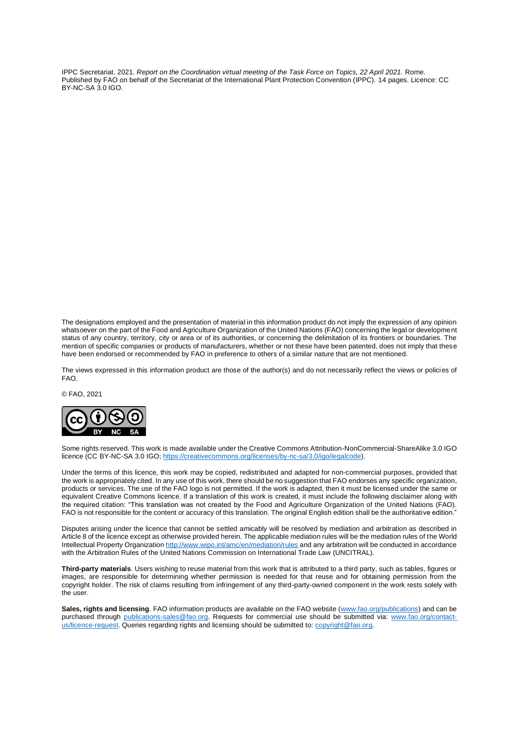IPPC Secretariat. 2021. *Report on the Coordination virtual meeting of the Task Force on Topics, 22 April 2021.* Rome. Published by FAO on behalf of the Secretariat of the International Plant Protection Convention (IPPC). 14 pages. Licence: CC BY-NC-SA 3.0 IGO.

The designations employed and the presentation of material in this information product do not imply the expression of any opinion whatsoever on the part of the Food and Agriculture Organization of the United Nations (FAO) concerning the legal or development status of any country, territory, city or area or of its authorities, or concerning the delimitation of its frontiers or boundaries. The mention of specific companies or products of manufacturers, whether or not these have been patented, does not imply that these have been endorsed or recommended by FAO in preference to others of a similar nature that are not mentioned.

The views expressed in this information product are those of the author(s) and do not necessarily reflect the views or policies of FAO.

© FAO, 2021



Some rights reserved. This work is made available under the Creative Commons Attribution-NonCommercial-ShareAlike 3.0 IGO licence (CC BY-NC-SA 3.0 IGO; [https://creativecommons.org/licenses/by-nc-sa/3.0/igo/legalcode\)](https://creativecommons.org/licenses/by-nc-sa/3.0/igo/legalcode).

Under the terms of this licence, this work may be copied, redistributed and adapted for non-commercial purposes, provided that the work is appropriately cited. In any use of this work, there should be no suggestion that FAO endorses any specific organization, products or services. The use of the FAO logo is not permitted. If the work is adapted, then it must be licensed under the same or equivalent Creative Commons licence. If a translation of this work is created, it must include the following disclaimer along with the required citation: "This translation was not created by the Food and Agriculture Organization of the United Nations (FAO). FAO is not responsible for the content or accuracy of this translation. The original English edition shall be the authoritative edition."

Disputes arising under the licence that cannot be settled amicably will be resolved by mediation and arbitration as described in Article 8 of the licence except as otherwise provided herein. The applicable mediation rules will be the mediation rules of the World Intellectual Property Organizatio[n http://www.wipo.int/amc/en/mediation/rules](http://www.wipo.int/amc/en/mediation/rules) and any arbitration will be conducted in accordance with the Arbitration Rules of the United Nations Commission on International Trade Law (UNCITRAL).

**Third-party materials**. Users wishing to reuse material from this work that is attributed to a third party, such as tables, figures or images, are responsible for determining whether permission is needed for that reuse and for obtaining permission from the copyright holder. The risk of claims resulting from infringement of any third-party-owned component in the work rests solely with the user.

Sales, rights and licensing. FAO information products are available on the FAO website [\(www.fao.org/publications\)](http://www.fao.org/publications) and can be purchased through [publications-sales@fao.org.](mailto:publications-sales@fao.org) Requests for commercial use should be submitted via: [www.fao.org/contact](http://www.fao.org/contact-us/licence-request)[us/licence-request.](http://www.fao.org/contact-us/licence-request) Queries regarding rights and licensing should be submitted to: [copyright@fao.org.](mailto:copyright@fao.org)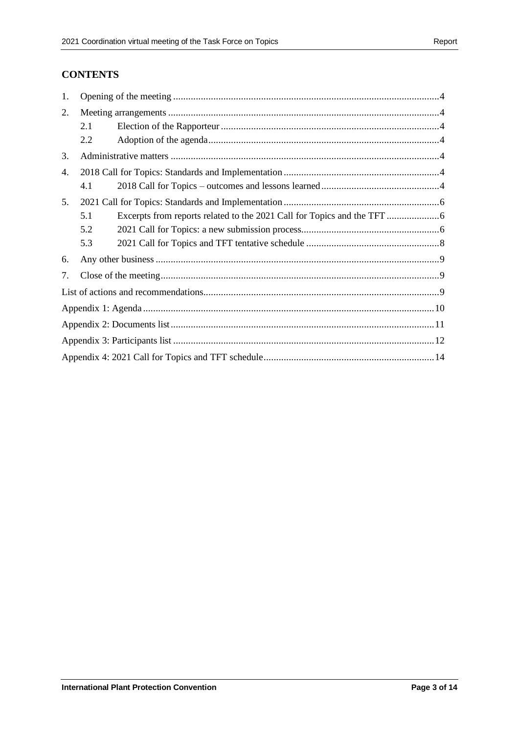#### **CONTENTS**

| 1. |     |  |  |
|----|-----|--|--|
| 2. |     |  |  |
|    | 2.1 |  |  |
|    | 2.2 |  |  |
| 3. |     |  |  |
| 4. |     |  |  |
|    | 4.1 |  |  |
| 5. |     |  |  |
|    | 5.1 |  |  |
|    | 5.2 |  |  |
|    | 5.3 |  |  |
| 6. |     |  |  |
| 7. |     |  |  |
|    |     |  |  |
|    |     |  |  |
|    |     |  |  |
|    |     |  |  |
|    |     |  |  |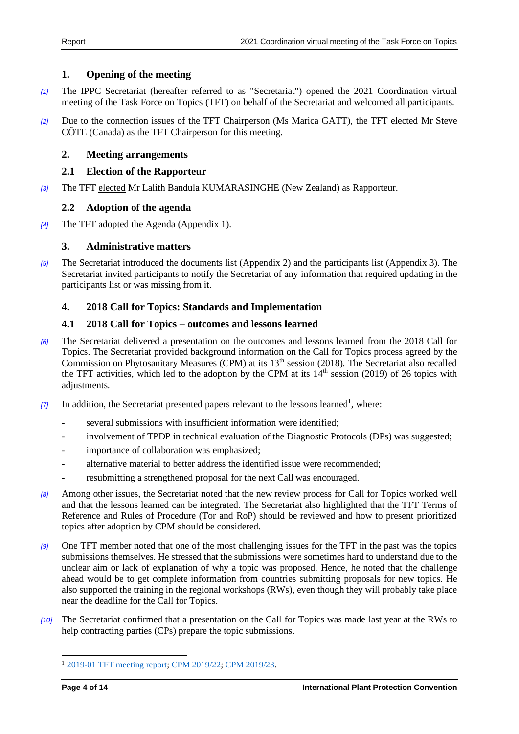#### <span id="page-3-0"></span>**1. Opening of the meeting**

- *[1]* The IPPC Secretariat (hereafter referred to as "Secretariat") opened the 2021 Coordination virtual meeting of the Task Force on Topics (TFT) on behalf of the Secretariat and welcomed all participants.
- *[2]* Due to the connection issues of the TFT Chairperson (Ms Marica GATT), the TFT elected Mr Steve CÔTE (Canada) as the TFT Chairperson for this meeting.

#### <span id="page-3-1"></span>**2. Meeting arrangements**

#### <span id="page-3-2"></span>**2.1 Election of the Rapporteur**

*[3]* The TFT elected Mr Lalith Bandula KUMARASINGHE (New Zealand) as Rapporteur.

#### <span id="page-3-3"></span>**2.2 Adoption of the agenda**

*[4]* The TFT adopted the Agenda (Appendix 1).

#### <span id="page-3-4"></span>**3. Administrative matters**

*[5]* The Secretariat introduced the documents list (Appendix 2) and the participants list (Appendix 3). The Secretariat invited participants to notify the Secretariat of any information that required updating in the participants list or was missing from it.

#### <span id="page-3-5"></span>**4. 2018 Call for Topics: Standards and Implementation**

#### <span id="page-3-6"></span>**4.1 2018 Call for Topics – outcomes and lessons learned**

- *[6]* The Secretariat delivered a presentation on the outcomes and lessons learned from the 2018 Call for Topics. The Secretariat provided background information on the Call for Topics process agreed by the Commission on Phytosanitary Measures (CPM) at its  $13<sup>th</sup>$  session (2018). The Secretariat also recalled the TFT activities, which led to the adoption by the CPM at its  $14<sup>th</sup>$  session (2019) of 26 topics with adjustments.
- [7] In addition, the Secretariat presented papers relevant to the lessons learned<sup>1</sup>, where:
	- several submissions with insufficient information were identified;
	- involvement of TPDP in technical evaluation of the Diagnostic Protocols (DPs) was suggested;
	- importance of collaboration was emphasized;
	- alternative material to better address the identified issue were recommended;
	- resubmitting a strengthened proposal for the next Call was encouraged.
- *[8]* Among other issues, the Secretariat noted that the new review process for Call for Topics worked well and that the lessons learned can be integrated. The Secretariat also highlighted that the TFT Terms of Reference and Rules of Procedure (Tor and RoP) should be reviewed and how to present prioritized topics after adoption by CPM should be considered.
- *[9]* One TFT member noted that one of the most challenging issues for the TFT in the past was the topics submissions themselves. He stressed that the submissions were sometimes hard to understand due to the unclear aim or lack of explanation of why a topic was proposed. Hence, he noted that the challenge ahead would be to get complete information from countries submitting proposals for new topics. He also supported the training in the regional workshops (RWs), even though they will probably take place near the deadline for the Call for Topics.
- *[10]* The Secretariat confirmed that a presentation on the Call for Topics was made last year at the RWs to help contracting parties (CPs) prepare the topic submissions.

<sup>1</sup> [2019-01 TFT meeting report;](https://www.ippc.int/en/publications/86978/) [CPM 2019/22;](https://www.ippc.int/en/publications/86974/) [CPM 2019/23.](https://www.ippc.int/en/publications/86952/)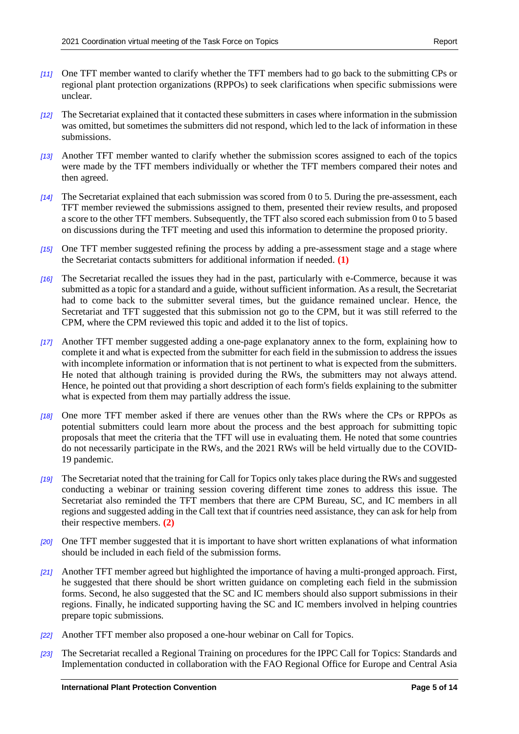- *[11]* One TFT member wanted to clarify whether the TFT members had to go back to the submitting CPs or regional plant protection organizations (RPPOs) to seek clarifications when specific submissions were unclear.
- *[12]* The Secretariat explained that it contacted these submitters in cases where information in the submission was omitted, but sometimes the submitters did not respond, which led to the lack of information in these submissions.
- *[13]* Another TFT member wanted to clarify whether the submission scores assigned to each of the topics were made by the TFT members individually or whether the TFT members compared their notes and then agreed.
- *[14]* The Secretariat explained that each submission was scored from 0 to 5. During the pre-assessment, each TFT member reviewed the submissions assigned to them, presented their review results, and proposed a score to the other TFT members. Subsequently, the TFT also scored each submission from 0 to 5 based on discussions during the TFT meeting and used this information to determine the proposed priority.
- *[15]* One TFT member suggested refining the process by adding a pre-assessment stage and a stage where the Secretariat contacts submitters for additional information if needed. **[\(1\)](#page-8-3)**
- *[16]* The Secretariat recalled the issues they had in the past, particularly with e-Commerce, because it was submitted as a topic for a standard and a guide, without sufficient information. As a result, the Secretariat had to come back to the submitter several times, but the guidance remained unclear. Hence, the Secretariat and TFT suggested that this submission not go to the CPM, but it was still referred to the CPM, where the CPM reviewed this topic and added it to the list of topics.
- *[17]* Another TFT member suggested adding a one-page explanatory annex to the form, explaining how to complete it and what is expected from the submitter for each field in the submission to address the issues with incomplete information or information that is not pertinent to what is expected from the submitters. He noted that although training is provided during the RWs, the submitters may not always attend. Hence, he pointed out that providing a short description of each form's fields explaining to the submitter what is expected from them may partially address the issue.
- *[18]* One more TFT member asked if there are venues other than the RWs where the CPs or RPPOs as potential submitters could learn more about the process and the best approach for submitting topic proposals that meet the criteria that the TFT will use in evaluating them. He noted that some countries do not necessarily participate in the RWs, and the 2021 RWs will be held virtually due to the COVID-19 pandemic.
- *[19]* The Secretariat noted that the training for Call for Topics only takes place during the RWs and suggested conducting a webinar or training session covering different time zones to address this issue. The Secretariat also reminded the TFT members that there are CPM Bureau, SC, and IC members in all regions and suggested adding in the Call text that if countries need assistance, they can ask for help from their respective members. **[\(2\)](#page-8-4)**
- *[20]* One TFT member suggested that it is important to have short written explanations of what information should be included in each field of the submission forms.
- *[21]* Another TFT member agreed but highlighted the importance of having a multi-pronged approach. First, he suggested that there should be short written guidance on completing each field in the submission forms. Second, he also suggested that the SC and IC members should also support submissions in their regions. Finally, he indicated supporting having the SC and IC members involved in helping countries prepare topic submissions.
- *[22]* Another TFT member also proposed a one-hour webinar on Call for Topics.
- *[23]* The Secretariat recalled a Regional Training on procedures for the IPPC Call for Topics: Standards and Implementation conducted in collaboration with the FAO Regional Office for Europe and Central Asia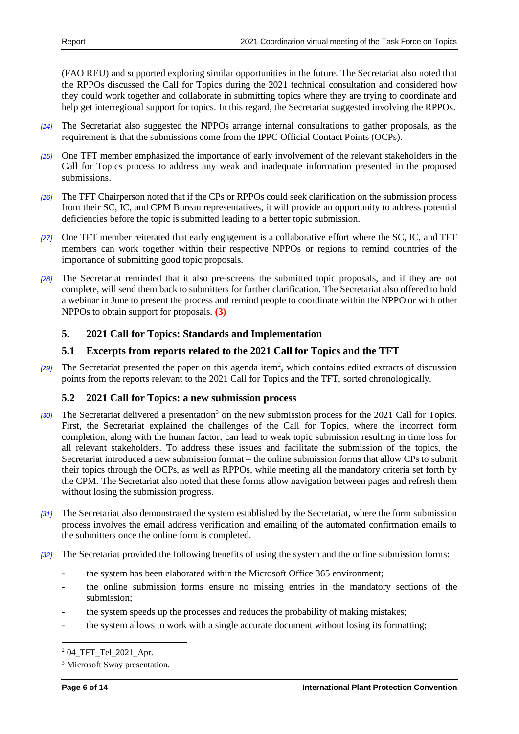(FAO REU) and supported exploring similar opportunities in the future. The Secretariat also noted that the RPPOs discussed the Call for Topics during the 2021 technical consultation and considered how they could work together and collaborate in submitting topics where they are trying to coordinate and help get interregional support for topics. In this regard, the Secretariat suggested involving the RPPOs.

- *[24]* The Secretariat also suggested the NPPOs arrange internal consultations to gather proposals, as the requirement is that the submissions come from the IPPC Official Contact Points (OCPs).
- *[25]* One TFT member emphasized the importance of early involvement of the relevant stakeholders in the Call for Topics process to address any weak and inadequate information presented in the proposed submissions.
- *[26]* The TFT Chairperson noted that if the CPs or RPPOs could seek clarification on the submission process from their SC, IC, and CPM Bureau representatives, it will provide an opportunity to address potential deficiencies before the topic is submitted leading to a better topic submission.
- *[27]* One TFT member reiterated that early engagement is a collaborative effort where the SC, IC, and TFT members can work together within their respective NPPOs or regions to remind countries of the importance of submitting good topic proposals.
- *[28]* The Secretariat reminded that it also pre-screens the submitted topic proposals, and if they are not complete, will send them back to submitters for further clarification. The Secretariat also offered to hold a webinar in June to present the process and remind people to coordinate within the NPPO or with other NPPOs to obtain support for proposals. **[\(3\)](#page-8-5)**

#### <span id="page-5-0"></span>**5. 2021 Call for Topics: Standards and Implementation**

#### <span id="page-5-1"></span>**5.1 Excerpts from reports related to the 2021 Call for Topics and the TFT**

[29] The Secretariat presented the paper on this agenda item<sup>2</sup>, which contains edited extracts of discussion points from the reports relevant to the 2021 Call for Topics and the TFT, sorted chronologically.

#### <span id="page-5-2"></span>**5.2 2021 Call for Topics: a new submission process**

- [30] The Secretariat delivered a presentation<sup>3</sup> on the new submission process for the 2021 Call for Topics. First, the Secretariat explained the challenges of the Call for Topics, where the incorrect form completion, along with the human factor, can lead to weak topic submission resulting in time loss for all relevant stakeholders. To address these issues and facilitate the submission of the topics, the Secretariat introduced a new submission format – the online submission forms that allow CPs to submit their topics through the OCPs, as well as RPPOs, while meeting all the mandatory criteria set forth by the CPM. The Secretariat also noted that these forms allow navigation between pages and refresh them without losing the submission progress.
- *[31]* The Secretariat also demonstrated the system established by the Secretariat, where the form submission process involves the email address verification and emailing of the automated confirmation emails to the submitters once the online form is completed.
- *[32]* The Secretariat provided the following benefits of using the system and the online submission forms:
	- the system has been elaborated within the Microsoft Office 365 environment;
	- the online submission forms ensure no missing entries in the mandatory sections of the submission;
	- the system speeds up the processes and reduces the probability of making mistakes;
	- the system allows to work with a single accurate document without losing its formatting;

<sup>2</sup> 04\_TFT\_Tel\_2021\_Apr.

<sup>&</sup>lt;sup>3</sup> Microsoft Sway presentation.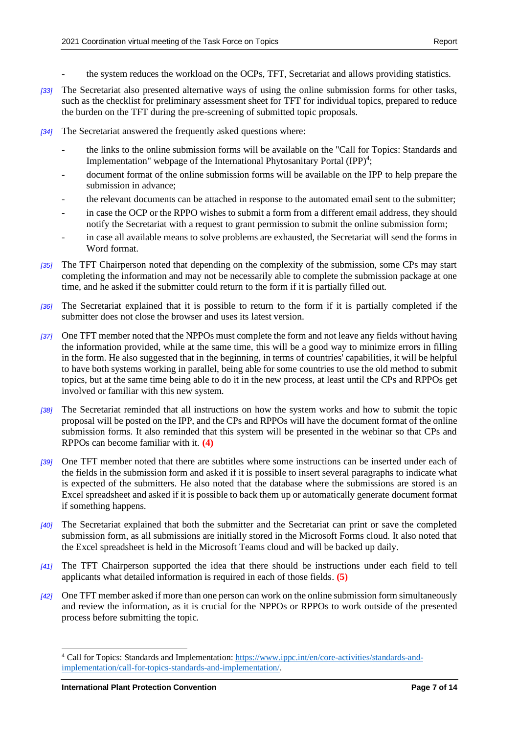- the system reduces the workload on the OCPs, TFT, Secretariat and allows providing statistics.
- *[33]* The Secretariat also presented alternative ways of using the online submission forms for other tasks, such as the checklist for preliminary assessment sheet for TFT for individual topics, prepared to reduce the burden on the TFT during the pre-screening of submitted topic proposals.
- *[34]* The Secretariat answered the frequently asked questions where:
	- the links to the online submission forms will be available on the "Call for Topics: Standards and Implementation" webpage of the International Phytosanitary Portal  $(IPP)^4$ ;
	- document format of the online submission forms will be available on the IPP to help prepare the submission in advance;
	- the relevant documents can be attached in response to the automated email sent to the submitter;
	- in case the OCP or the RPPO wishes to submit a form from a different email address, they should notify the Secretariat with a request to grant permission to submit the online submission form;
	- in case all available means to solve problems are exhausted, the Secretariat will send the forms in Word format.
- *[35]* The TFT Chairperson noted that depending on the complexity of the submission, some CPs may start completing the information and may not be necessarily able to complete the submission package at one time, and he asked if the submitter could return to the form if it is partially filled out.
- *[36]* The Secretariat explained that it is possible to return to the form if it is partially completed if the submitter does not close the browser and uses its latest version.
- *[37]* One TFT member noted that the NPPOs must complete the form and not leave any fields without having the information provided, while at the same time, this will be a good way to minimize errors in filling in the form. He also suggested that in the beginning, in terms of countries' capabilities, it will be helpful to have both systems working in parallel, being able for some countries to use the old method to submit topics, but at the same time being able to do it in the new process, at least until the CPs and RPPOs get involved or familiar with this new system.
- *[38]* The Secretariat reminded that all instructions on how the system works and how to submit the topic proposal will be posted on the IPP, and the CPs and RPPOs will have the document format of the online submission forms. It also reminded that this system will be presented in the webinar so that CPs and RPPOs can become familiar with it. **[\(4\)](#page-8-6)**
- *[39]* One TFT member noted that there are subtitles where some instructions can be inserted under each of the fields in the submission form and asked if it is possible to insert several paragraphs to indicate what is expected of the submitters. He also noted that the database where the submissions are stored is an Excel spreadsheet and asked if it is possible to back them up or automatically generate document format if something happens.
- *[40]* The Secretariat explained that both the submitter and the Secretariat can print or save the completed submission form, as all submissions are initially stored in the Microsoft Forms cloud. It also noted that the Excel spreadsheet is held in the Microsoft Teams cloud and will be backed up daily.
- *[41]* The TFT Chairperson supported the idea that there should be instructions under each field to tell applicants what detailed information is required in each of those fields. **[\(5\)](#page-8-7)**
- *[42]* One TFT member asked if more than one person can work on the online submission form simultaneously and review the information, as it is crucial for the NPPOs or RPPOs to work outside of the presented process before submitting the topic.

<sup>&</sup>lt;sup>4</sup> Call for Topics: Standards and Implementation: [https://www.ippc.int/en/core-activities/standards-and](https://www.ippc.int/en/core-activities/standards-and-implementation/call-for-topics-standards-and-implementation/)[implementation/call-for-topics-standards-and-implementation/.](https://www.ippc.int/en/core-activities/standards-and-implementation/call-for-topics-standards-and-implementation/)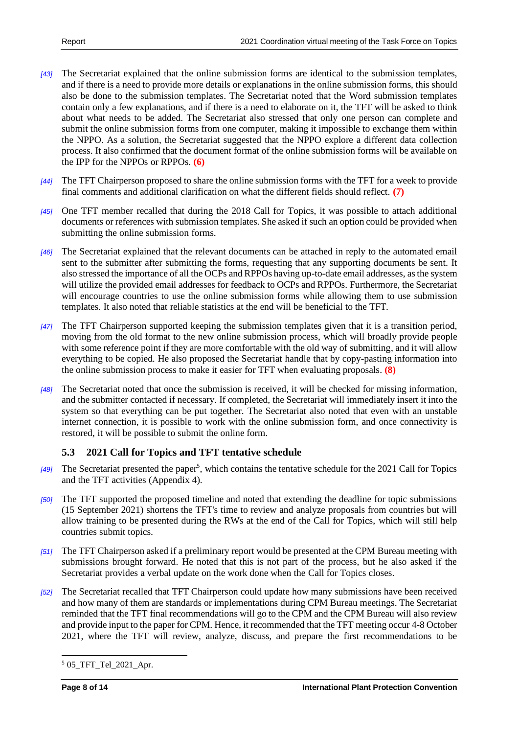- *[43]* The Secretariat explained that the online submission forms are identical to the submission templates, and if there is a need to provide more details or explanations in the online submission forms, this should also be done to the submission templates. The Secretariat noted that the Word submission templates contain only a few explanations, and if there is a need to elaborate on it, the TFT will be asked to think about what needs to be added. The Secretariat also stressed that only one person can complete and submit the online submission forms from one computer, making it impossible to exchange them within the NPPO. As a solution, the Secretariat suggested that the NPPO explore a different data collection process. It also confirmed that the document format of the online submission forms will be available on the IPP for the NPPOs or RPPOs. **[\(6\)](#page-8-8)**
- *[44]* The TFT Chairperson proposed to share the online submission forms with the TFT for a week to provide final comments and additional clarification on what the different fields should reflect. **[\(7\)](#page-8-9)**
- *[45]* One TFT member recalled that during the 2018 Call for Topics, it was possible to attach additional documents or references with submission templates. She asked if such an option could be provided when submitting the online submission forms.
- *[46]* The Secretariat explained that the relevant documents can be attached in reply to the automated email sent to the submitter after submitting the forms, requesting that any supporting documents be sent. It also stressed the importance of all the OCPs and RPPOs having up-to-date email addresses, as the system will utilize the provided email addresses for feedback to OCPs and RPPOs. Furthermore, the Secretariat will encourage countries to use the online submission forms while allowing them to use submission templates. It also noted that reliable statistics at the end will be beneficial to the TFT.
- *[47]* The TFT Chairperson supported keeping the submission templates given that it is a transition period, moving from the old format to the new online submission process, which will broadly provide people with some reference point if they are more comfortable with the old way of submitting, and it will allow everything to be copied. He also proposed the Secretariat handle that by copy-pasting information into the online submission process to make it easier for TFT when evaluating proposals. **[\(8\)](#page-8-10)**
- *[48]* The Secretariat noted that once the submission is received, it will be checked for missing information, and the submitter contacted if necessary. If completed, the Secretariat will immediately insert it into the system so that everything can be put together. The Secretariat also noted that even with an unstable internet connection, it is possible to work with the online submission form, and once connectivity is restored, it will be possible to submit the online form.

#### <span id="page-7-0"></span>**5.3 2021 Call for Topics and TFT tentative schedule**

- [49] The Secretariat presented the paper<sup>5</sup>, which contains the tentative schedule for the 2021 Call for Topics and the TFT activities (Appendix 4).
- *[50]* The TFT supported the proposed timeline and noted that extending the deadline for topic submissions (15 September 2021) shortens the TFT's time to review and analyze proposals from countries but will allow training to be presented during the RWs at the end of the Call for Topics, which will still help countries submit topics.
- *[51]* The TFT Chairperson asked if a preliminary report would be presented at the CPM Bureau meeting with submissions brought forward. He noted that this is not part of the process, but he also asked if the Secretariat provides a verbal update on the work done when the Call for Topics closes.
- *[52]* The Secretariat recalled that TFT Chairperson could update how many submissions have been received and how many of them are standards or implementations during CPM Bureau meetings. The Secretariat reminded that the TFT final recommendations will go to the CPM and the CPM Bureau will also review and provide input to the paper for CPM. Hence, it recommended that the TFT meeting occur 4-8 October 2021, where the TFT will review, analyze, discuss, and prepare the first recommendations to be

 $5$  05 TFT Tel 2021 Apr.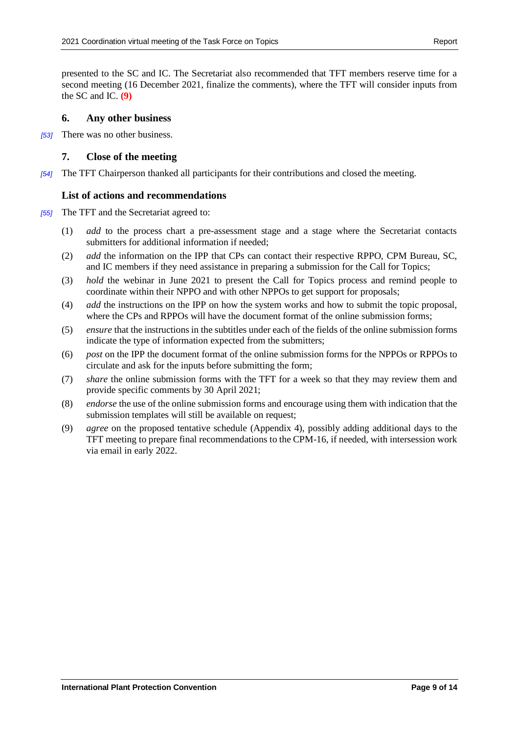presented to the SC and IC. The Secretariat also recommended that TFT members reserve time for a second meeting (16 December 2021, finalize the comments), where the TFT will consider inputs from the SC and IC. **[\(9\)](#page-8-11)**

#### <span id="page-8-0"></span>**6. Any other business**

*[53]* There was no other business.

#### <span id="page-8-1"></span>**7. Close of the meeting**

*[54]* The TFT Chairperson thanked all participants for their contributions and closed the meeting.

#### <span id="page-8-2"></span>**List of actions and recommendations**

- <span id="page-8-11"></span><span id="page-8-10"></span><span id="page-8-9"></span><span id="page-8-8"></span><span id="page-8-7"></span><span id="page-8-6"></span><span id="page-8-5"></span><span id="page-8-4"></span><span id="page-8-3"></span>*[55]* The TFT and the Secretariat agreed to:
	- (1) *add* to the process chart a pre-assessment stage and a stage where the Secretariat contacts submitters for additional information if needed;
	- (2) *add* the information on the IPP that CPs can contact their respective RPPO, CPM Bureau, SC, and IC members if they need assistance in preparing a submission for the Call for Topics;
	- (3) *hold* the webinar in June 2021 to present the Call for Topics process and remind people to coordinate within their NPPO and with other NPPOs to get support for proposals;
	- (4) *add* the instructions on the IPP on how the system works and how to submit the topic proposal, where the CPs and RPPOs will have the document format of the online submission forms:
	- (5) *ensure* that the instructions in the subtitles under each of the fields of the online submission forms indicate the type of information expected from the submitters;
	- (6) *post* on the IPP the document format of the online submission forms for the NPPOs or RPPOs to circulate and ask for the inputs before submitting the form;
	- (7) *share* the online submission forms with the TFT for a week so that they may review them and provide specific comments by 30 April 2021;
	- (8) *endorse* the use of the online submission forms and encourage using them with indication that the submission templates will still be available on request;
	- (9) *agree* on the proposed tentative schedule (Appendix 4), possibly adding additional days to the TFT meeting to prepare final recommendations to the CPM-16, if needed, with intersession work via email in early 2022.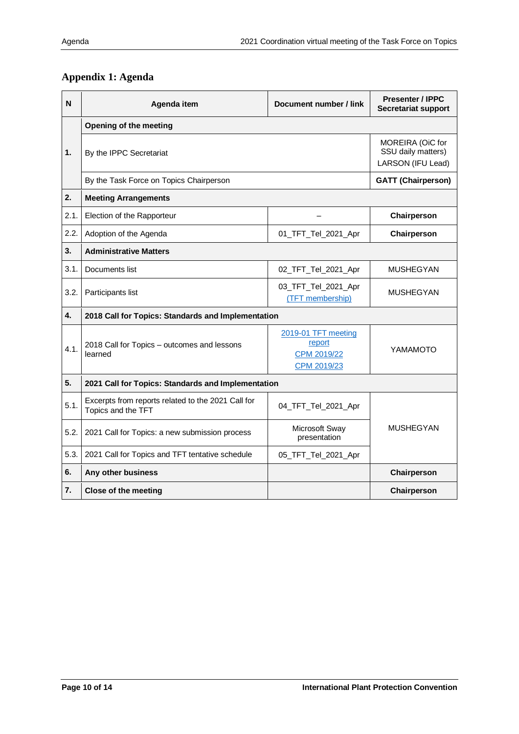## <span id="page-9-0"></span>**Appendix 1: Agenda**

| N    | Agenda item                                                              | Document number / link                                      | <b>Presenter / IPPC</b><br><b>Secretariat support</b>       |  |
|------|--------------------------------------------------------------------------|-------------------------------------------------------------|-------------------------------------------------------------|--|
|      | Opening of the meeting                                                   |                                                             |                                                             |  |
| 1.   | By the IPPC Secretariat                                                  |                                                             | MOREIRA (OiC for<br>SSU daily matters)<br>LARSON (IFU Lead) |  |
|      | By the Task Force on Topics Chairperson                                  | <b>GATT (Chairperson)</b>                                   |                                                             |  |
| 2.   | <b>Meeting Arrangements</b>                                              |                                                             |                                                             |  |
| 2.1. | Election of the Rapporteur                                               |                                                             | Chairperson                                                 |  |
| 2.2. | Adoption of the Agenda                                                   | 01_TFT_Tel_2021_Apr                                         | Chairperson                                                 |  |
| 3.   | <b>Administrative Matters</b>                                            |                                                             |                                                             |  |
| 3.1. | Documents list                                                           | 02_TFT_Tel_2021_Apr                                         | <b>MUSHEGYAN</b>                                            |  |
| 3.2. | Participants list                                                        | 03_TFT_Tel_2021_Apr<br>(TFT membership)                     | <b>MUSHEGYAN</b>                                            |  |
| 4.   | 2018 Call for Topics: Standards and Implementation                       |                                                             |                                                             |  |
| 4.1. | 2018 Call for Topics - outcomes and lessons<br>learned                   | 2019-01 TFT meeting<br>report<br>CPM 2019/22<br>CPM 2019/23 | YAMAMOTO                                                    |  |
| 5.   | 2021 Call for Topics: Standards and Implementation                       |                                                             |                                                             |  |
| 5.1. | Excerpts from reports related to the 2021 Call for<br>Topics and the TFT | 04_TFT_Tel_2021_Apr                                         |                                                             |  |
| 5.2. | 2021 Call for Topics: a new submission process                           | Microsoft Sway<br>presentation                              | <b>MUSHEGYAN</b>                                            |  |
| 5.3. | 2021 Call for Topics and TFT tentative schedule                          | 05_TFT_Tel_2021_Apr                                         |                                                             |  |
| 6.   | Any other business                                                       |                                                             | Chairperson                                                 |  |
| 7.   | <b>Close of the meeting</b>                                              |                                                             | Chairperson                                                 |  |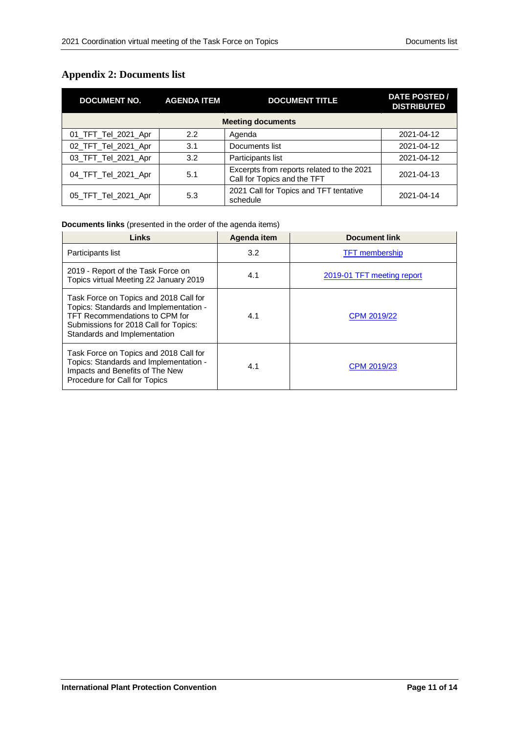## <span id="page-10-0"></span>**Appendix 2: Documents list**

| <b>DOCUMENT NO.</b>      | <b>AGENDA ITEM</b> | <b>DOCUMENT TITLE</b>                                                    | DATE POSTED/<br><b>DISTRIBUTED</b> |  |  |
|--------------------------|--------------------|--------------------------------------------------------------------------|------------------------------------|--|--|
| <b>Meeting documents</b> |                    |                                                                          |                                    |  |  |
| 01_TFT_Tel_2021_Apr      | 2.2                | Agenda                                                                   | 2021-04-12                         |  |  |
| 02_TFT_Tel_2021_Apr      | 3.1                | Documents list                                                           | 2021-04-12                         |  |  |
| 03_TFT_Tel_2021_Apr      | 3.2                | Participants list                                                        | 2021-04-12                         |  |  |
| 04_TFT_Tel_2021_Apr      | 5.1                | Excerpts from reports related to the 2021<br>Call for Topics and the TFT | 2021-04-13                         |  |  |
| 05_TFT_Tel_2021_Apr      | 5.3                | 2021 Call for Topics and TFT tentative<br>schedule                       | 2021-04-14                         |  |  |

#### **Documents links** (presented in the order of the agenda items)

| Links                                                                                                                                                                                       | Agenda item | <b>Document link</b>       |
|---------------------------------------------------------------------------------------------------------------------------------------------------------------------------------------------|-------------|----------------------------|
| Participants list                                                                                                                                                                           | 3.2         | <b>TFT</b> membership      |
| 2019 - Report of the Task Force on<br>Topics virtual Meeting 22 January 2019                                                                                                                | 4.1         | 2019-01 TFT meeting report |
| Task Force on Topics and 2018 Call for<br>Topics: Standards and Implementation -<br>TFT Recommendations to CPM for<br>Submissions for 2018 Call for Topics:<br>Standards and Implementation | 4.1         | CPM 2019/22                |
| Task Force on Topics and 2018 Call for<br>Topics: Standards and Implementation -<br>Impacts and Benefits of The New<br>Procedure for Call for Topics                                        | 4.1         | CPM 2019/23                |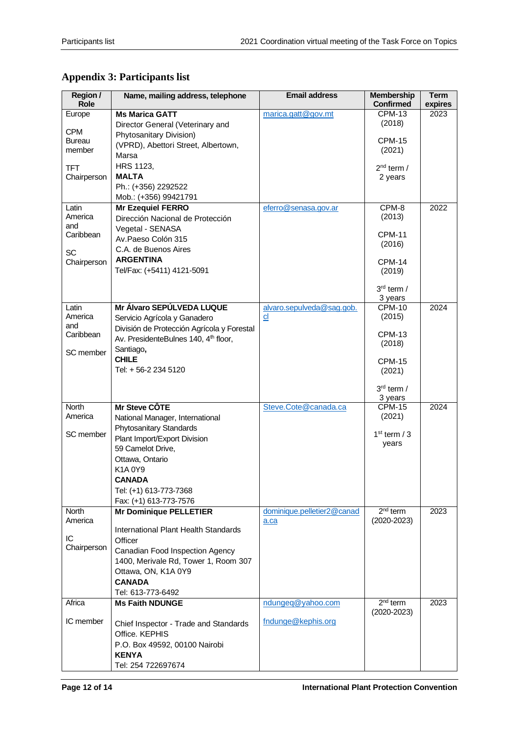| Region /       | Name, mailing address, telephone                 | <b>Email address</b>       | <b>Membership</b>       | Term    |
|----------------|--------------------------------------------------|----------------------------|-------------------------|---------|
| Role           |                                                  |                            | <b>Confirmed</b>        | expires |
| Europe         | <b>Ms Marica GATT</b>                            | marica.gatt@gov.mt         | <b>CPM-13</b>           | 2023    |
| <b>CPM</b>     | Director General (Veterinary and                 |                            | (2018)                  |         |
| Bureau         | Phytosanitary Division)                          |                            | <b>CPM-15</b>           |         |
| member         | (VPRD), Abettori Street, Albertown,              |                            | (2021)                  |         |
|                | Marsa                                            |                            |                         |         |
| <b>TFT</b>     | HRS 1123,                                        |                            | $2nd$ term /            |         |
| Chairperson    | <b>MALTA</b>                                     |                            | 2 years                 |         |
|                | Ph.: (+356) 2292522                              |                            |                         |         |
|                | Mob.: (+356) 99421791                            |                            |                         |         |
| Latin          | <b>Mr Ezequiel FERRO</b>                         | eferro@senasa.gov.ar       | $CPM-8$                 | 2022    |
| America        | Dirección Nacional de Protección                 |                            | (2013)                  |         |
| and            | Vegetal - SENASA                                 |                            |                         |         |
| Caribbean      | Av.Paeso Colón 315                               |                            | <b>CPM-11</b><br>(2016) |         |
| <b>SC</b>      | C.A. de Buenos Aires                             |                            |                         |         |
| Chairperson    | <b>ARGENTINA</b>                                 |                            | <b>CPM-14</b>           |         |
|                | Tel/Fax: (+5411) 4121-5091                       |                            | (2019)                  |         |
|                |                                                  |                            |                         |         |
|                |                                                  |                            | 3rd term /              |         |
|                |                                                  |                            | 3 years                 |         |
| Latin          | Mr Álvaro SEPÚLVEDA LUQUE                        | alvaro.sepulveda@sag.gob.  | <b>CPM-10</b>           | 2024    |
| America<br>and | Servicio Agrícola y Ganadero                     | cl                         | (2015)                  |         |
| Caribbean      | División de Protección Agrícola y Forestal       |                            | <b>CPM-13</b>           |         |
|                | Av. PresidenteBulnes 140, 4 <sup>th</sup> floor, |                            | (2018)                  |         |
| SC member      | Santiago,                                        |                            |                         |         |
|                | <b>CHILE</b>                                     |                            | <b>CPM-15</b>           |         |
|                | Tel: + 56-2 234 5120                             |                            | (2021)                  |         |
|                |                                                  |                            | $3rd$ term /            |         |
|                |                                                  |                            | 3 years                 |         |
| <b>North</b>   | Mr Steve CÔTE                                    | Steve.Cote@canada.ca       | <b>CPM-15</b>           | 2024    |
| America        | National Manager, International                  |                            | (2021)                  |         |
|                | Phytosanitary Standards                          |                            |                         |         |
| SC member      | Plant Import/Export Division                     |                            | $1st$ term / 3          |         |
|                | 59 Camelot Drive,                                |                            | years                   |         |
|                | Ottawa, Ontario                                  |                            |                         |         |
|                | K1A0Y9                                           |                            |                         |         |
|                | <b>CANADA</b>                                    |                            |                         |         |
|                | Tel: (+1) 613-773-7368                           |                            |                         |         |
|                | Fax: (+1) 613-773-7576                           |                            |                         |         |
| <b>North</b>   | <b>Mr Dominique PELLETIER</b>                    | dominique.pelletier2@canad | $2nd$ term              | 2023    |
| America        |                                                  | a.ca                       | $(2020 - 2023)$         |         |
|                | International Plant Health Standards             |                            |                         |         |
| IC             | Officer                                          |                            |                         |         |
| Chairperson    | Canadian Food Inspection Agency                  |                            |                         |         |
|                | 1400, Merivale Rd, Tower 1, Room 307             |                            |                         |         |
|                | Ottawa, ON, K1A 0Y9                              |                            |                         |         |
|                | <b>CANADA</b>                                    |                            |                         |         |
|                | Tel: 613-773-6492                                |                            |                         |         |
| Africa         | <b>Ms Faith NDUNGE</b>                           | ndungeq@yahoo.com          | $2nd$ term              | 2023    |
|                |                                                  |                            | $(2020 - 2023)$         |         |
| IC member      | Chief Inspector - Trade and Standards            | fndunge@kephis.org         |                         |         |
|                | Office. KEPHIS                                   |                            |                         |         |
|                | P.O. Box 49592, 00100 Nairobi                    |                            |                         |         |
|                | <b>KENYA</b>                                     |                            |                         |         |
|                | Tel: 254 722697674                               |                            |                         |         |
|                |                                                  |                            |                         |         |

## <span id="page-11-0"></span>**Appendix 3: Participants list**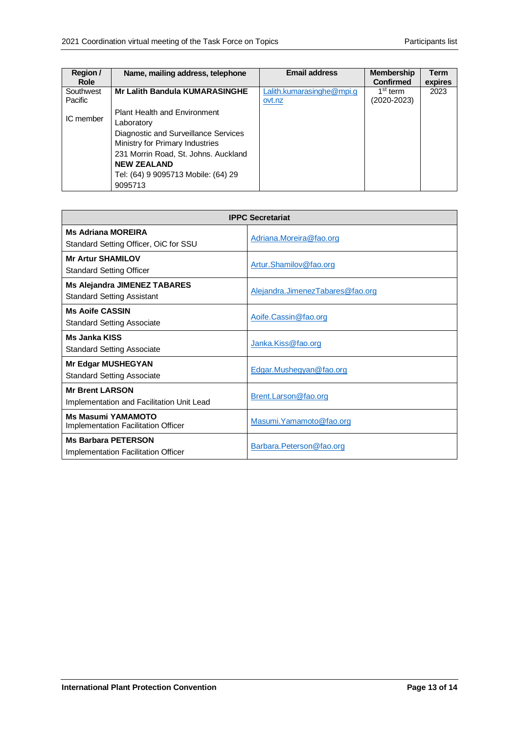| Region /<br><b>Role</b> | Name, mailing address, telephone      | <b>Email address</b>                | <b>Membership</b><br><b>Confirmed</b> | Term<br>expires |
|-------------------------|---------------------------------------|-------------------------------------|---------------------------------------|-----------------|
| Southwest<br>Pacific    | <b>Mr Lalith Bandula KUMARASINGHE</b> | Lalith.kumarasinghe@mpi.g<br>ovt.nz | 1 <sup>st</sup> term<br>(2020-2023)   | 2023            |
|                         |                                       |                                     |                                       |                 |
| IC member               | <b>Plant Health and Environment</b>   |                                     |                                       |                 |
|                         | Laboratory                            |                                     |                                       |                 |
|                         | Diagnostic and Surveillance Services  |                                     |                                       |                 |
|                         | Ministry for Primary Industries       |                                     |                                       |                 |
|                         | 231 Morrin Road, St. Johns. Auckland  |                                     |                                       |                 |
|                         | <b>NFW ZFAI AND</b>                   |                                     |                                       |                 |
|                         | Tel: (64) 9 9095713 Mobile: (64) 29   |                                     |                                       |                 |
|                         | 9095713                               |                                     |                                       |                 |

| <b>IPPC Secretariat</b>                                                  |                                  |  |
|--------------------------------------------------------------------------|----------------------------------|--|
| <b>Ms Adriana MOREIRA</b><br>Standard Setting Officer, OiC for SSU       | Adriana.Moreira@fao.org          |  |
| <b>Mr Artur SHAMILOV</b><br><b>Standard Setting Officer</b>              | Artur.Shamilov@fao.org           |  |
| <b>Ms Alejandra JIMENEZ TABARES</b><br><b>Standard Setting Assistant</b> | Alejandra.JimenezTabares@fao.org |  |
| <b>Ms Aoife CASSIN</b><br><b>Standard Setting Associate</b>              | Aoife.Cassin@fao.org             |  |
| <b>Ms.Janka KISS</b><br><b>Standard Setting Associate</b>                | Janka.Kiss@fao.org               |  |
| <b>Mr Edgar MUSHEGYAN</b><br><b>Standard Setting Associate</b>           | Edgar.Mushegyan@fao.org          |  |
| <b>Mr Brent LARSON</b><br>Implementation and Facilitation Unit Lead      | Brent.Larson@fao.org             |  |
| <b>Ms Masumi YAMAMOTO</b><br>Implementation Facilitation Officer         | Masumi. Yamamoto@fao.org         |  |
| <b>Ms Barbara PETERSON</b><br>Implementation Facilitation Officer        | Barbara.Peterson@fao.org         |  |